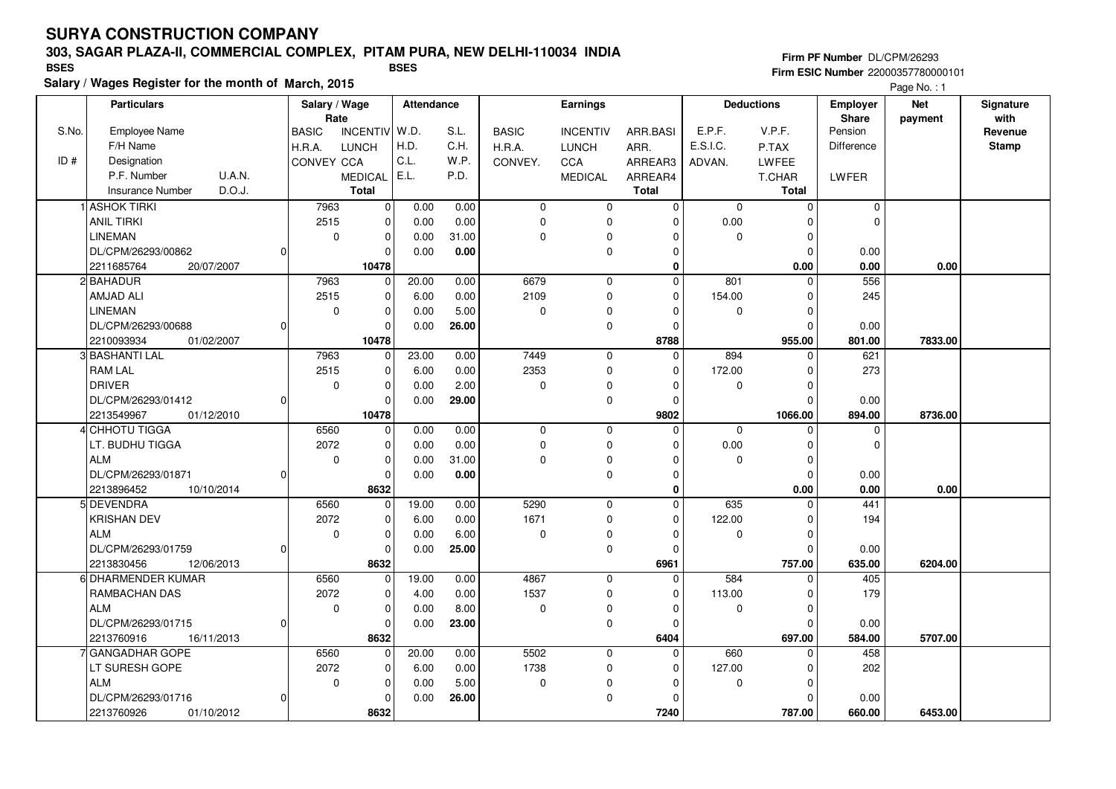### **303, SAGAR PLAZA-II, COMMERCIAL COMPLEX, PITAM PURA, NEW DELHI-110034 INDIA**

**Salary / Wages Register for the month of March, 2015 BSES BSES**

#### **Firm PF Number** DL/CPM/26293 **Firm ESIC Number** 22000357780000101

|       | <b>Particulars</b>                 |    |              | Salary / Wage<br>Rate |       | Attendance   | Earnings                |                 |              | <b>Deductions</b>   |              | <b>Employer</b>         | <b>Net</b> | Signature       |
|-------|------------------------------------|----|--------------|-----------------------|-------|--------------|-------------------------|-----------------|--------------|---------------------|--------------|-------------------------|------------|-----------------|
| S.No. | <b>Employee Name</b>               |    | <b>BASIC</b> | INCENTIV W.D.         |       | S.L.         | <b>BASIC</b>            | <b>INCENTIV</b> | ARR.BASI     | E.P.F.              | V.P.F.       | <b>Share</b><br>Pension | payment    | with<br>Revenue |
|       | F/H Name                           |    | H.R.A.       | <b>LUNCH</b>          | H.D.  | C.H.         | H.R.A.                  | <b>LUNCH</b>    | ARR.         | E.S.I.C.            | P.TAX        | Difference              |            | <b>Stamp</b>    |
| ID#   | Designation                        |    | CONVEY CCA   |                       | C.L.  | W.P.         | CONVEY.                 | CCA             | ARREAR3      | ADVAN.              | LWFEE        |                         |            |                 |
|       | P.F. Number<br>U.A.N.              |    |              | <b>MEDICAL</b>        | E.L.  | P.D.         |                         | <b>MEDICAL</b>  | ARREAR4      |                     | T.CHAR       | LWFER                   |            |                 |
|       | D.O.J.<br><b>Insurance Number</b>  |    |              | <b>Total</b>          |       |              |                         |                 | <b>Total</b> |                     | <b>Total</b> |                         |            |                 |
|       |                                    |    |              |                       |       |              |                         |                 |              |                     | $\Omega$     |                         |            |                 |
|       | 1 ASHOK TIRKI<br><b>ANIL TIRKI</b> |    | 7963<br>2515 | $\mathbf 0$           | 0.00  | 0.00<br>0.00 | 0                       | 0               | $\mathbf 0$  | $\mathbf 0$<br>0.00 |              | $\mathbf 0$<br>$\Omega$ |            |                 |
|       |                                    |    |              | $\mathbf 0$           | 0.00  |              | $\mathbf 0$<br>$\Omega$ | 0               | $\Omega$     |                     | $\Omega$     |                         |            |                 |
|       | <b>LINEMAN</b>                     |    | $\mathbf 0$  | $\mathbf 0$           | 0.00  | 31.00        |                         | $\overline{0}$  | $\Omega$     | $\mathbf 0$         | $\Omega$     |                         |            |                 |
|       | DL/CPM/26293/00862                 | 0  |              |                       | 0.00  | 0.00         |                         | 0               | $\Omega$     |                     | $\Omega$     | 0.00                    |            |                 |
|       | 2211685764<br>20/07/2007           |    |              | 10478                 |       |              |                         |                 | 0            |                     | 0.00         | 0.00                    | 0.00       |                 |
|       | 2 BAHADUR                          |    | 7963         | $\mathbf{0}$          | 20.00 | 0.00         | 6679                    | $\mathbf 0$     | $\Omega$     | 801                 | $\Omega$     | 556                     |            |                 |
|       | AMJAD ALI                          |    | 2515         | $\mathbf 0$           | 6.00  | 0.00         | 2109                    | 0               | $\Omega$     | 154.00              | $\Omega$     | 245                     |            |                 |
|       | <b>LINEMAN</b>                     |    | $\mathbf 0$  | $\mathbf 0$           | 0.00  | 5.00         | $\mathbf 0$             | 0               | $\Omega$     | 0                   | $\Omega$     |                         |            |                 |
|       | DL/CPM/26293/00688                 | 0  |              | $\Omega$              | 0.00  | 26.00        |                         | 0               | $\Omega$     |                     | $\Omega$     | 0.00                    |            |                 |
|       | 01/02/2007<br>2210093934           |    |              | 10478                 |       |              |                         |                 | 8788         |                     | 955.00       | 801.00                  | 7833.00    |                 |
|       | 3 BASHANTI LAL                     |    | 7963         | 0                     | 23.00 | 0.00         | 7449                    | $\mathbf 0$     | 0            | 894                 | 0            | 621                     |            |                 |
|       | <b>RAM LAL</b>                     |    | 2515         | $\Omega$              | 6.00  | 0.00         | 2353                    | 0               | $\Omega$     | 172.00              | $\Omega$     | 273                     |            |                 |
|       | <b>DRIVER</b>                      |    | $\mathbf 0$  | $\mathbf 0$           | 0.00  | 2.00         | $\mathbf 0$             | 0               | $\Omega$     | $\mathbf 0$         | $\mathbf 0$  |                         |            |                 |
|       | DL/CPM/26293/01412                 | 01 |              | $\Omega$              | 0.00  | 29.00        |                         | 0               | $\Omega$     |                     | $\Omega$     | 0.00                    |            |                 |
|       | 2213549967<br>01/12/2010           |    |              | 10478                 |       |              |                         |                 | 9802         |                     | 1066.00      | 894.00                  | 8736.00    |                 |
|       | 4 CHHOTU TIGGA                     |    | 6560         | 0                     | 0.00  | 0.00         | 0                       | 0               | $\Omega$     | $\mathbf 0$         | $\Omega$     | $\mathbf 0$             |            |                 |
|       | LT. BUDHU TIGGA                    |    | 2072         | $\mathbf 0$           | 0.00  | 0.00         | $\mathbf 0$             | 0               | $\Omega$     | 0.00                | $\Omega$     | $\mathbf 0$             |            |                 |
|       | <b>ALM</b>                         |    | $\mathbf 0$  | $\mathbf 0$           | 0.00  | 31.00        | $\mathbf 0$             | 0               | $\Omega$     | 0                   | $\Omega$     |                         |            |                 |
|       | DL/CPM/26293/01871                 | 0  |              | $\Omega$              | 0.00  | 0.00         |                         | $\mathbf 0$     | $\Omega$     |                     | $\Omega$     | 0.00                    |            |                 |
|       | 2213896452<br>10/10/2014           |    |              | 8632                  |       |              |                         |                 | 0            |                     | 0.00         | 0.00                    | 0.00       |                 |
|       | 5 DEVENDRA                         |    | 6560         | $\mathbf 0$           | 19.00 | 0.00         | 5290                    | $\mathbf 0$     | $\Omega$     | 635                 | $\Omega$     | 441                     |            |                 |
|       | <b>KRISHAN DEV</b>                 |    | 2072         | $\Omega$              | 6.00  | 0.00         | 1671                    | $\mathbf 0$     | $\Omega$     | 122.00              | $\Omega$     | 194                     |            |                 |
|       | <b>ALM</b>                         |    | $\mathbf 0$  | $\mathbf 0$           | 0.00  | 6.00         | $\mathbf 0$             | 0               | $\Omega$     | 0                   | $\mathbf 0$  |                         |            |                 |
|       | DL/CPM/26293/01759                 | 0  |              | $\mathbf 0$           | 0.00  | 25.00        |                         | 0               | $\Omega$     |                     | $\Omega$     | 0.00                    |            |                 |
|       | 2213830456<br>12/06/2013           |    |              | 8632                  |       |              |                         |                 | 6961         |                     | 757.00       | 635.00                  | 6204.00    |                 |
|       | 6 DHARMENDER KUMAR                 |    | 6560         | $\Omega$              | 19.00 | 0.00         | 4867                    | $\mathbf 0$     | $\Omega$     | 584                 | $\Omega$     | 405                     |            |                 |
|       | RAMBACHAN DAS                      |    | 2072         | $\mathbf 0$           | 4.00  | 0.00         | 1537                    | 0               | $\Omega$     | 113.00              | 0            | 179                     |            |                 |
|       | <b>ALM</b>                         |    | $\mathbf 0$  | $\mathbf 0$           | 0.00  | 8.00         | $\mathbf 0$             | 0               | 0            | 0                   | 0            |                         |            |                 |
|       | DL/CPM/26293/01715                 | Οl |              | $\Omega$              | 0.00  | 23.00        |                         | 0               | $\Omega$     |                     | $\Omega$     | 0.00                    |            |                 |
|       | 2213760916<br>16/11/2013           |    |              | 8632                  |       |              |                         |                 | 6404         |                     | 697.00       | 584.00                  | 5707.00    |                 |
|       | 7 GANGADHAR GOPE                   |    | 6560         | 0                     | 20.00 | 0.00         | 5502                    | $\mathbf 0$     | $\Omega$     | 660                 | $\Omega$     | 458                     |            |                 |
|       | LT SURESH GOPE                     |    | 2072         | $\mathbf 0$           | 6.00  | 0.00         | 1738                    | 0               | $\mathbf 0$  | 127.00              | $\mathbf 0$  | 202                     |            |                 |
|       | ALM                                |    | $\mathbf 0$  | $\mathbf 0$           | 0.00  | 5.00         | $\mathbf 0$             | 0               | $\Omega$     | 0                   | $\Omega$     |                         |            |                 |
|       | DL/CPM/26293/01716                 | 0  |              | $\Omega$              | 0.00  | 26.00        |                         | 0               | $\Omega$     |                     | $\Omega$     | 0.00                    |            |                 |
|       | 2213760926<br>01/10/2012           |    |              | 8632                  |       |              |                         |                 | 7240         |                     | 787.00       | 660.00                  | 6453.00    |                 |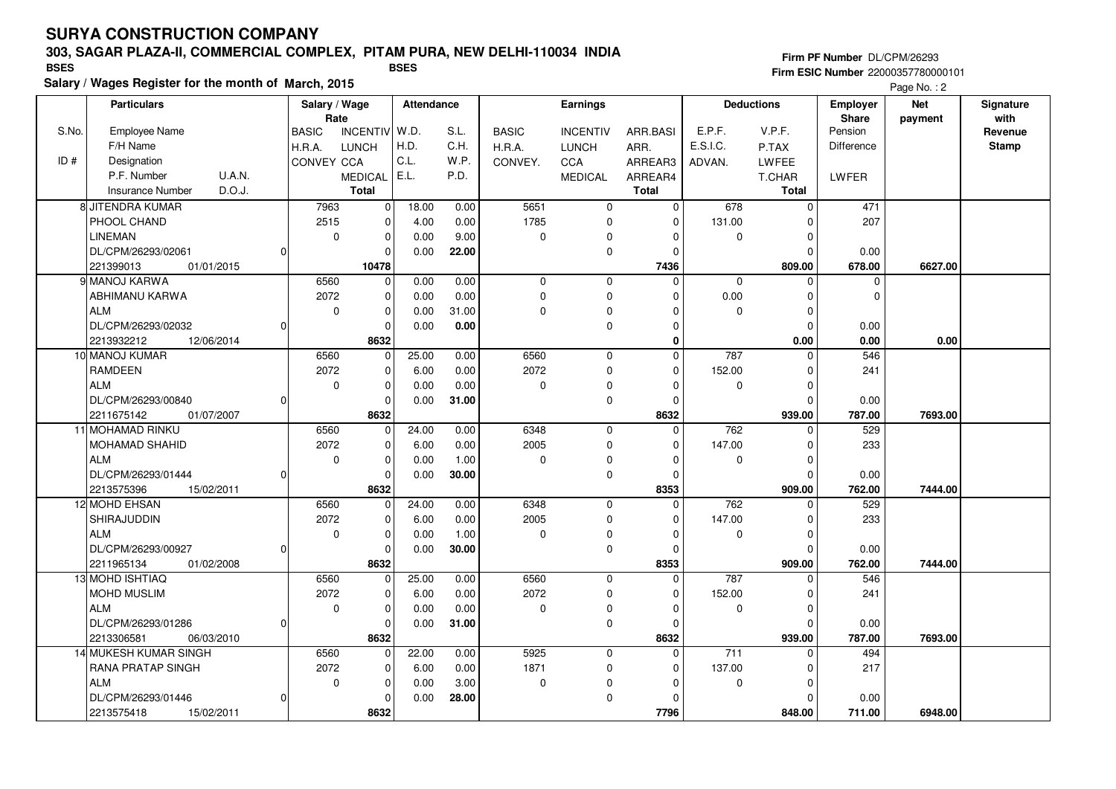### **303, SAGAR PLAZA-II, COMMERCIAL COMPLEX, PITAM PURA, NEW DELHI-110034 INDIA**

**Salary / Wages Register for the month of March, 2015 BSES BSES**

**Firm PF Number** DL/CPM/26293 **Firm ESIC Number** 22000357780000101

|       | <b>Particulars</b>                |    | Rate         | Salary / Wage   |       | <b>Attendance</b> |              | <b>Earnings</b> |                |                  | <b>Deductions</b> | <b>Employer</b><br>Share | <b>Net</b> | Signature<br>with |
|-------|-----------------------------------|----|--------------|-----------------|-------|-------------------|--------------|-----------------|----------------|------------------|-------------------|--------------------------|------------|-------------------|
| S.No. | <b>Employee Name</b>              |    | <b>BASIC</b> | <b>INCENTIV</b> | W.D.  | S.L.              | <b>BASIC</b> | <b>INCENTIV</b> | ARR.BASI       | E.P.F.           | V.P.F.            | Pension                  | payment    | Revenue           |
|       | F/H Name                          |    | H.R.A.       | <b>LUNCH</b>    | H.D.  | C.H.              | H.R.A.       | <b>LUNCH</b>    | ARR.           | E.S.I.C.         | P.TAX             | <b>Difference</b>        |            | <b>Stamp</b>      |
| ID#   | Designation                       |    | CONVEY CCA   |                 | C.L.  | W.P.              | CONVEY.      | CCA             | ARREAR3        | ADVAN.           | <b>LWFEE</b>      |                          |            |                   |
|       | U.A.N.<br>P.F. Number             |    |              | <b>MEDICAL</b>  | E.L.  | P.D.              |              | <b>MEDICAL</b>  | ARREAR4        |                  | T.CHAR            | LWFER                    |            |                   |
|       | D.O.J.<br><b>Insurance Number</b> |    |              | <b>Total</b>    |       |                   |              |                 | <b>Total</b>   |                  | Total             |                          |            |                   |
|       | 8 JITENDRA KUMAR                  |    | 7963         | $\mathbf 0$     | 18.00 | 0.00              | 5651         | $\mathbf 0$     | $\mathbf 0$    | 678              | $\Omega$          | 471                      |            |                   |
|       | PHOOL CHAND                       |    | 2515         | $\mathbf 0$     | 4.00  | 0.00              | 1785         | 0               | $\mathbf 0$    | 131.00           | 0                 | 207                      |            |                   |
|       | <b>LINEMAN</b>                    |    | $\mathbf 0$  | $\mathbf 0$     | 0.00  | 9.00              | $\mathbf 0$  | 0               | 0              | 0                | $\Omega$          |                          |            |                   |
|       | DL/CPM/26293/02061                | 0  |              | $\Omega$        | 0.00  | 22.00             |              | $\mathbf 0$     | $\Omega$       |                  | $\Omega$          | 0.00                     |            |                   |
|       | 221399013<br>01/01/2015           |    |              | 10478           |       |                   |              |                 | 7436           |                  | 809.00            | 678.00                   | 6627.00    |                   |
|       | 9 MANOJ KARWA                     |    | 6560         | $\mathbf 0$     | 0.00  | 0.00              | $\mathbf 0$  | $\mathbf 0$     | $\Omega$       | $\mathbf 0$      | $\Omega$          | $\mathbf 0$              |            |                   |
|       | ABHIMANU KARWA                    |    | 2072         | $\mathbf 0$     | 0.00  | 0.00              | $\mathbf 0$  | 0               | $\Omega$       | 0.00             | 0                 | $\mathbf 0$              |            |                   |
|       | <b>ALM</b>                        |    | $\Omega$     | $\Omega$        | 0.00  | 31.00             | $\Omega$     | 0               | $\Omega$       | $\mathbf 0$      | $\Omega$          |                          |            |                   |
|       | DL/CPM/26293/02032                | Οl |              |                 | 0.00  | 0.00              |              | $\mathbf 0$     | $\Omega$       |                  | $\Omega$          | 0.00                     |            |                   |
|       | 2213932212<br>12/06/2014          |    |              | 8632            |       |                   |              |                 | 0              |                  | 0.00              | 0.00                     | 0.00       |                   |
|       | 10 MANOJ KUMAR                    |    | 6560         | 0               | 25.00 | 0.00              | 6560         | 0               | $\mathbf 0$    | 787              | 0                 | 546                      |            |                   |
|       | <b>RAMDEEN</b>                    |    | 2072         | $\Omega$        | 6.00  | 0.00              | 2072         | $\overline{0}$  | $\Omega$       | 152.00           | $\Omega$          | 241                      |            |                   |
|       | ALM                               |    | $\mathbf 0$  | $\mathbf 0$     | 0.00  | 0.00              | $\mathbf 0$  | 0               | $\Omega$       | $\mathbf 0$      | $\mathbf 0$       |                          |            |                   |
|       | DL/CPM/26293/00840                | 0  |              | $\Omega$        | 0.00  | 31.00             |              | 0               | $\Omega$       |                  | $\Omega$          | 0.00                     |            |                   |
|       | 2211675142<br>01/07/2007          |    |              | 8632            |       |                   |              |                 | 8632           |                  | 939.00            | 787.00                   | 7693.00    |                   |
|       | 11 MOHAMAD RINKU                  |    | 6560         | $\mathbf 0$     | 24.00 | 0.00              | 6348         | $\mathbf 0$     | $\overline{0}$ | 762              | $\Omega$          | 529                      |            |                   |
|       | <b>MOHAMAD SHAHID</b>             |    | 2072         | $\mathbf 0$     | 6.00  | 0.00              | 2005         | 0               | $\Omega$       | 147.00           | $\Omega$          | 233                      |            |                   |
|       | <b>ALM</b>                        |    | $\mathbf 0$  | $\mathbf 0$     | 0.00  | 1.00              | $\Omega$     | 0               | $\Omega$       | $\mathbf 0$      | $\Omega$          |                          |            |                   |
|       | DL/CPM/26293/01444                | 0  |              | $\mathbf 0$     | 0.00  | 30.00             |              | $\mathbf 0$     | $\Omega$       |                  | $\Omega$          | 0.00                     |            |                   |
|       | 2213575396<br>15/02/2011          |    |              | 8632            |       |                   |              |                 | 8353           |                  | 909.00            | 762.00                   | 7444.00    |                   |
|       | 12 MOHD EHSAN                     |    | 6560         | $\mathbf{0}$    | 24.00 | 0.00              | 6348         | $\mathbf 0$     | $\Omega$       | 762              | $\Omega$          | 529                      |            |                   |
|       | SHIRAJUDDIN                       |    | 2072         | $\mathbf 0$     | 6.00  | 0.00              | 2005         | $\mathbf 0$     | $\Omega$       | 147.00           | $\Omega$          | 233                      |            |                   |
|       | <b>ALM</b>                        |    | $\mathbf 0$  | $\mathbf 0$     | 0.00  | 1.00              | $\mathbf 0$  | $\Omega$        | $\Omega$       | 0                | 0                 |                          |            |                   |
|       | DL/CPM/26293/00927                | οI |              | $\Omega$        | 0.00  | 30.00             |              | $\mathbf 0$     | $\Omega$       |                  | $\Omega$          | 0.00                     |            |                   |
|       | 2211965134<br>01/02/2008          |    |              | 8632            |       |                   |              |                 | 8353           |                  | 909.00            | 762.00                   | 7444.00    |                   |
|       | 13 MOHD ISHTIAQ                   |    | 6560         | $\Omega$        | 25.00 | 0.00              | 6560         | $\mathbf 0$     | $\Omega$       | 787              | $\Omega$          | 546                      |            |                   |
|       | MOHD MUSLIM                       |    | 2072         | $\mathbf 0$     | 6.00  | 0.00              | 2072         | 0               | $\Omega$       | 152.00           | 0                 | 241                      |            |                   |
|       | ALM                               |    | $\mathbf 0$  | $\mathbf 0$     | 0.00  | 0.00              | $\mathbf 0$  | 0               | $\Omega$       | 0                | $\Omega$          |                          |            |                   |
|       | DL/CPM/26293/01286                | Οl |              | $\Omega$        | 0.00  | 31.00             |              | 0               | $\Omega$       |                  | $\Omega$          | 0.00                     |            |                   |
|       | 2213306581<br>06/03/2010          |    |              | 8632            |       |                   |              |                 | 8632           |                  | 939.00            | 787.00                   | 7693.00    |                   |
|       | 14 MUKESH KUMAR SINGH             |    | 6560         | $\mathbf 0$     | 22.00 | 0.00              | 5925         | $\mathbf 0$     | $\Omega$       | $\overline{711}$ | $\Omega$          | 494                      |            |                   |
|       | <b>RANA PRATAP SINGH</b>          |    | 2072         | $\mathbf 0$     | 6.00  | 0.00              | 1871         | 0               | $\mathbf 0$    | 137.00           | 0                 | 217                      |            |                   |
|       | <b>ALM</b>                        |    | $\mathbf 0$  | $\mathbf 0$     | 0.00  | 3.00              | $\mathbf 0$  | 0               | $\Omega$       | 0                | $\Omega$          |                          |            |                   |
|       | DL/CPM/26293/01446                | 0  |              | $\Omega$        | 0.00  | 28.00             |              | 0               | $\Omega$       |                  | $\Omega$          | 0.00                     |            |                   |
|       | 2213575418<br>15/02/2011          |    |              | 8632            |       |                   |              |                 | 7796           |                  | 848.00            | 711.00                   | 6948.00    |                   |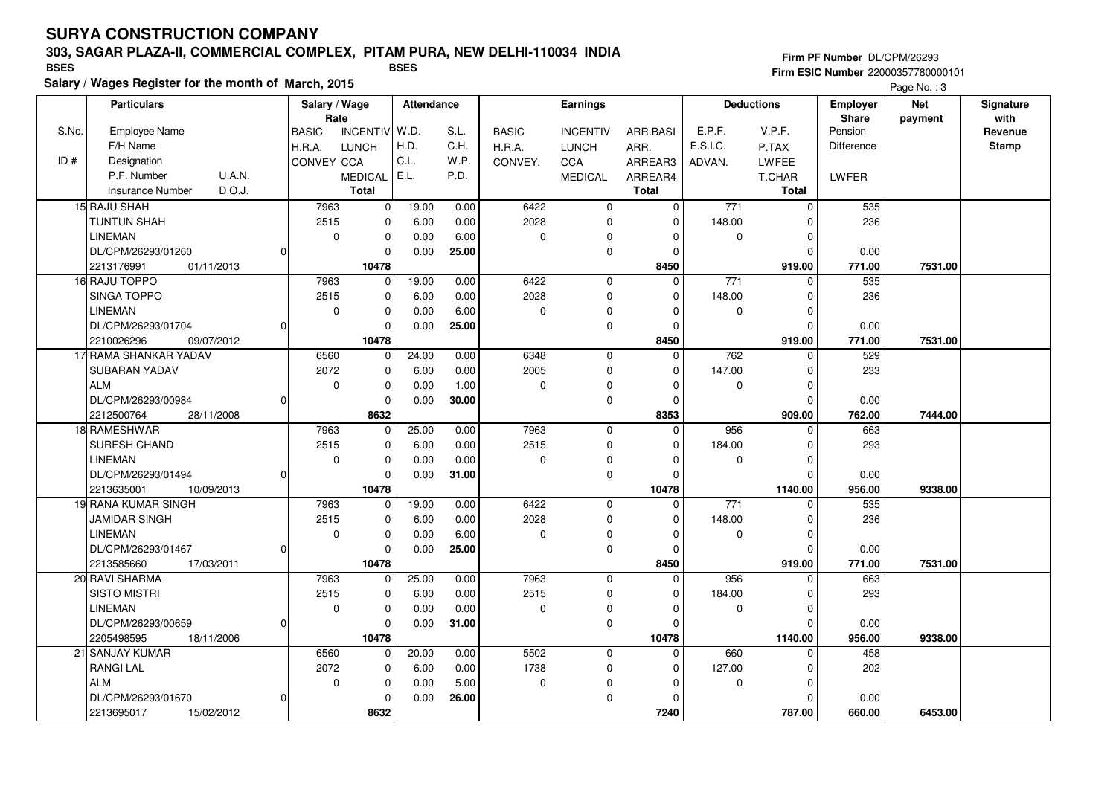#### **303, SAGAR PLAZA-II, COMMERCIAL COMPLEX, PITAM PURA, NEW DELHI-110034 INDIA**

**Salary / Wages Register for the month of March, 2015 BSES BSES**

**Firm PF Number** DL/CPM/26293 **Firm ESIC Number** 22000357780000101

|       | <b>Particulars</b>                |          | Rate         | Salary / Wage   |       | Attendance | Earnings     |                 |                | <b>Deductions</b> |              | <b>Employer</b><br><b>Share</b> | <b>Net</b> | Signature<br>with |
|-------|-----------------------------------|----------|--------------|-----------------|-------|------------|--------------|-----------------|----------------|-------------------|--------------|---------------------------------|------------|-------------------|
| S.No. | <b>Employee Name</b>              |          | <b>BASIC</b> | <b>INCENTIV</b> | W.D.  | S.L.       | <b>BASIC</b> | <b>INCENTIV</b> | ARR.BASI       | E.P.F.            | V.P.F.       | Pension                         | payment    | Revenue           |
|       | F/H Name                          |          | H.R.A.       | <b>LUNCH</b>    | H.D.  | C.H.       | H.R.A.       | <b>LUNCH</b>    | ARR.           | E.S.I.C.          | P.TAX        | Difference                      |            | <b>Stamp</b>      |
| ID#   | Designation                       |          | CONVEY CCA   |                 | C.L.  | W.P.       | CONVEY.      | CCA             | ARREAR3        | ADVAN.            | LWFEE        |                                 |            |                   |
|       | P.F. Number<br>U.A.N.             |          |              | <b>MEDICAL</b>  | E.L.  | P.D.       |              | <b>MEDICAL</b>  | ARREAR4        |                   | T.CHAR       | LWFER                           |            |                   |
|       | D.O.J.<br><b>Insurance Number</b> |          |              | <b>Total</b>    |       |            |              |                 | Total          |                   | <b>Total</b> |                                 |            |                   |
|       | 15 RAJU SHAH                      |          | 7963         | $\overline{0}$  | 19.00 | 0.00       | 6422         | $\mathbf 0$     | $\mathbf 0$    | $\frac{1}{771}$   | $\Omega$     | 535                             |            |                   |
|       | <b>TUNTUN SHAH</b>                |          | 2515         | 0               | 6.00  | 0.00       | 2028         | $\mathbf 0$     | $\mathbf 0$    | 148.00            | 0            | 236                             |            |                   |
|       | <b>LINEMAN</b>                    |          | $\mathbf 0$  | $\mathbf 0$     | 0.00  | 6.00       | $\pmb{0}$    | 0               | $\Omega$       | 0                 | $\mathbf 0$  |                                 |            |                   |
|       | DL/CPM/26293/01260                | n        |              | $\Omega$        | 0.00  | 25.00      |              | $\mathbf 0$     | $\Omega$       |                   | $\Omega$     | 0.00                            |            |                   |
|       | 2213176991<br>01/11/2013          |          |              | 10478           |       |            |              |                 | 8450           |                   | 919.00       | 771.00                          | 7531.00    |                   |
|       | 16 RAJU TOPPO                     |          | 7963         | $\overline{0}$  | 19.00 | 0.00       | 6422         | $\mathbf 0$     | $\mathbf 0$    | 771               | $\mathbf 0$  | 535                             |            |                   |
|       | <b>SINGA TOPPO</b>                |          | 2515         | $\mathbf 0$     | 6.00  | 0.00       | 2028         | $\pmb{0}$       | $\mathbf 0$    | 148.00            | $\mathbf 0$  | 236                             |            |                   |
|       | <b>LINEMAN</b>                    |          | $\mathbf 0$  | $\mathbf 0$     | 0.00  | 6.00       | $\mathbf 0$  | $\mathbf 0$     | $\Omega$       | $\mathbf 0$       | $\Omega$     |                                 |            |                   |
|       | DL/CPM/26293/01704                | 0        |              | $\Omega$        | 0.00  | 25.00      |              | $\mathbf 0$     | $\Omega$       |                   | $\mathbf 0$  | 0.00                            |            |                   |
|       | 09/07/2012<br>2210026296          |          |              | 10478           |       |            |              |                 | 8450           |                   | 919.00       | 771.00                          | 7531.00    |                   |
|       | 17 RAMA SHANKAR YADAV             |          | 6560         | 0               | 24.00 | 0.00       | 6348         | $\mathbf 0$     | $\mathbf 0$    | 762               | $\mathbf 0$  | 529                             |            |                   |
|       | SUBARAN YADAV                     |          | 2072         | $\mathbf 0$     | 6.00  | 0.00       | 2005         | 0               | $\Omega$       | 147.00            | $\mathbf 0$  | 233                             |            |                   |
|       | ALM                               |          | $\mathbf 0$  | $\mathbf 0$     | 0.00  | 1.00       | $\pmb{0}$    | 0               | $\mathbf 0$    | $\mathbf 0$       | $\mathbf 0$  |                                 |            |                   |
|       | DL/CPM/26293/00984                | 0        |              | $\mathbf 0$     | 0.00  | 30.00      |              | $\mathbf 0$     | $\Omega$       |                   | $\Omega$     | 0.00                            |            |                   |
|       | 2212500764<br>28/11/2008          |          |              | 8632            |       |            |              |                 | 8353           |                   | 909.00       | 762.00                          | 7444.00    |                   |
|       | 18 RAMESHWAR                      |          | 7963         | $\mathbf 0$     | 25.00 | 0.00       | 7963         | $\mathbf 0$     | $\overline{0}$ | 956               | $\Omega$     | 663                             |            |                   |
|       | <b>SURESH CHAND</b>               |          | 2515         | $\mathbf 0$     | 6.00  | 0.00       | 2515         | $\mathbf 0$     | $\Omega$       | 184.00            | $\mathbf 0$  | 293                             |            |                   |
|       | <b>LINEMAN</b>                    |          | $\Omega$     | $\mathbf 0$     | 0.00  | 0.00       | $\pmb{0}$    | 0               | $\Omega$       | 0                 | $\Omega$     |                                 |            |                   |
|       | DL/CPM/26293/01494                | $\Omega$ |              | $\mathbf 0$     | 0.00  | 31.00      |              | $\mathbf 0$     | $\Omega$       |                   | $\Omega$     | 0.00                            |            |                   |
|       | 2213635001<br>10/09/2013          |          |              | 10478           |       |            |              |                 | 10478          |                   | 1140.00      | 956.00                          | 9338.00    |                   |
|       | 19 RANA KUMAR SINGH               |          | 7963         | $\mathbf 0$     | 19.00 | 0.00       | 6422         | $\mathbf 0$     | $\Omega$       | $\overline{771}$  | $\Omega$     | 535                             |            |                   |
|       | <b>JAMIDAR SINGH</b>              |          | 2515         | $\mathbf 0$     | 6.00  | 0.00       | 2028         | $\mathbf 0$     | $\Omega$       | 148.00            | $\Omega$     | 236                             |            |                   |
|       | <b>LINEMAN</b>                    |          | $\mathbf 0$  | $\mathbf 0$     | 0.00  | 6.00       | 0            | 0               | $\Omega$       | 0                 | 0            |                                 |            |                   |
|       | DL/CPM/26293/01467                | $\Omega$ |              | $\mathbf 0$     | 0.00  | 25.00      |              | $\pmb{0}$       | $\Omega$       |                   | $\Omega$     | 0.00                            |            |                   |
|       | 2213585660<br>17/03/2011          |          |              | 10478           |       |            |              |                 | 8450           |                   | 919.00       | 771.00                          | 7531.00    |                   |
|       | 20 RAVI SHARMA                    |          | 7963         | $\mathbf 0$     | 25.00 | 0.00       | 7963         | $\mathbf 0$     | $\mathbf 0$    | 956               | $\Omega$     | 663                             |            |                   |
|       | <b>SISTO MISTRI</b>               |          | 2515         | $\Omega$        | 6.00  | 0.00       | 2515         | $\mathbf 0$     | $\Omega$       | 184.00            | 0            | 293                             |            |                   |
|       | <b>LINEMAN</b>                    |          | $\mathbf 0$  | $\mathbf 0$     | 0.00  | 0.00       | $\pmb{0}$    | 0               | 0              | 0                 | $\mathbf 0$  |                                 |            |                   |
|       | DL/CPM/26293/00659                | $\Omega$ |              | $\mathbf 0$     | 0.00  | 31.00      |              | $\mathbf 0$     | $\Omega$       |                   | $\Omega$     | 0.00                            |            |                   |
|       | 2205498595<br>18/11/2006          |          |              | 10478           |       |            |              |                 | 10478          |                   | 1140.00      | 956.00                          | 9338.00    |                   |
|       | 21 SANJAY KUMAR                   |          | 6560         | $\mathbf 0$     | 20.00 | 0.00       | 5502         | $\mathbf 0$     | $\Omega$       | 660               | $\Omega$     | 458                             |            |                   |
|       | <b>RANGI LAL</b>                  |          | 2072         | $\mathbf 0$     | 6.00  | 0.00       | 1738         | 0               | 0              | 127.00            | 0            | 202                             |            |                   |
|       | ALM                               |          | $\mathbf 0$  | $\mathbf 0$     | 0.00  | 5.00       | $\mathbf 0$  | $\Omega$        | $\Omega$       | $\mathbf 0$       | $\Omega$     |                                 |            |                   |
|       | DL/CPM/26293/01670                | 0        |              | $\mathbf 0$     | 0.00  | 26.00      |              | $\mathbf 0$     | $\Omega$       |                   | $\Omega$     | 0.00                            |            |                   |
|       | 2213695017<br>15/02/2012          |          |              | 8632            |       |            |              |                 | 7240           |                   | 787.00       | 660.00                          | 6453.00    |                   |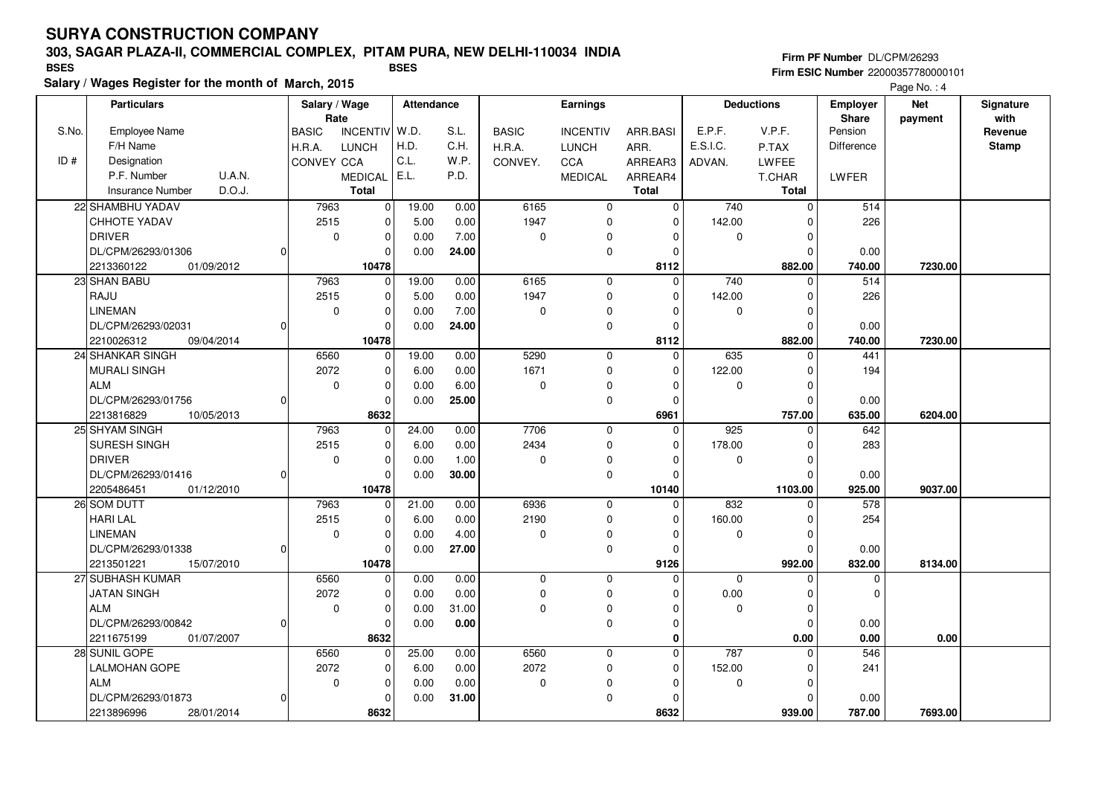### **303, SAGAR PLAZA-II, COMMERCIAL COMPLEX, PITAM PURA, NEW DELHI-110034 INDIA**

**Salary / Wages Register for the month of March, 2015 BSES BSES**

**Firm PF Number** DL/CPM/26293 **Firm ESIC Number** 22000357780000101

|       | <b>Particulars</b>                |          |              | Salary / Wage<br>Rate   |       | Attendance | <b>Earnings</b> |                 |              | <b>Deductions</b> |               | <b>Employer</b><br><b>Share</b> | <b>Net</b><br>payment | Signature<br>with |
|-------|-----------------------------------|----------|--------------|-------------------------|-------|------------|-----------------|-----------------|--------------|-------------------|---------------|---------------------------------|-----------------------|-------------------|
| S.No. | <b>Employee Name</b>              |          | <b>BASIC</b> | <b>INCENTIV</b>         | W.D.  | S.L.       | <b>BASIC</b>    | <b>INCENTIV</b> | ARR.BASI     | E.P.F.            | V.P.F.        | Pension                         |                       | Revenue           |
|       | F/H Name                          |          | H.R.A.       | <b>LUNCH</b>            | H.D.  | C.H.       | H.R.A.          | <b>LUNCH</b>    | ARR.         | E.S.I.C.          | P.TAX         | Difference                      |                       | <b>Stamp</b>      |
| ID#   | Designation                       |          | CONVEY CCA   |                         | C.L.  | W.P.       | CONVEY.         | CCA             | ARREAR3      | ADVAN.            | LWFEE         |                                 |                       |                   |
|       | P.F. Number<br>U.A.N.             |          |              | <b>MEDICAL</b>          | E.L.  | P.D.       |                 | <b>MEDICAL</b>  | ARREAR4      |                   | <b>T.CHAR</b> | LWFER                           |                       |                   |
|       | D.O.J.<br><b>Insurance Number</b> |          |              | <b>Total</b>            |       |            |                 |                 | <b>Total</b> |                   | Total         |                                 |                       |                   |
|       | 22 SHAMBHU YADAV                  |          | 7963         | $\overline{\mathbf{0}}$ | 19.00 | 0.00       | 6165            | 0               | 0            | 740               | $\mathbf 0$   | 514                             |                       |                   |
|       | <b>CHHOTE YADAV</b>               |          | 2515         | $\mathbf 0$             | 5.00  | 0.00       | 1947            | $\mathbf 0$     | $\Omega$     | 142.00            | $\mathbf 0$   | 226                             |                       |                   |
|       | <b>DRIVER</b>                     |          | $\mathbf 0$  | $\mathbf 0$             | 0.00  | 7.00       | $\pmb{0}$       | 0               | $\Omega$     | 0                 | $\mathbf 0$   |                                 |                       |                   |
|       | DL/CPM/26293/01306                | n        |              | $\Omega$                | 0.00  | 24.00      |                 | $\pmb{0}$       | $\Omega$     |                   | $\Omega$      | 0.00                            |                       |                   |
|       | 2213360122<br>01/09/2012          |          |              | 10478                   |       |            |                 |                 | 8112         |                   | 882.00        | 740.00                          | 7230.00               |                   |
|       | 23 SHAN BABU                      |          | 7963         | $\mathbf 0$             | 19.00 | 0.00       | 6165            | $\mathbf 0$     | $\Omega$     | 740               | 0             | 514                             |                       |                   |
|       | RAJU                              |          | 2515         | $\mathbf 0$             | 5.00  | 0.00       | 1947            | $\mathbf 0$     | $\mathbf 0$  | 142.00            | 0             | 226                             |                       |                   |
|       | LINEMAN                           |          | $\Omega$     | $\mathbf 0$             | 0.00  | 7.00       | 0               | 0               | $\Omega$     | 0                 | $\Omega$      |                                 |                       |                   |
|       | DL/CPM/26293/02031                | $\Omega$ |              | $\mathbf 0$             | 0.00  | 24.00      |                 | $\mathbf 0$     | $\Omega$     |                   | $\mathbf 0$   | 0.00                            |                       |                   |
|       | 2210026312<br>09/04/2014          |          |              | 10478                   |       |            |                 |                 | 8112         |                   | 882.00        | 740.00                          | 7230.00               |                   |
|       | 24 SHANKAR SINGH                  |          | 6560         | 0                       | 19.00 | 0.00       | 5290            | $\mathbf 0$     | $\mathbf 0$  | 635               | 0             | 441                             |                       |                   |
|       | <b>MURALI SINGH</b>               |          | 2072         | $\mathbf 0$             | 6.00  | 0.00       | 1671            | $\mathbf 0$     | $\Omega$     | 122.00            | $\mathbf 0$   | 194                             |                       |                   |
|       | <b>ALM</b>                        |          | $\mathbf 0$  | $\mathbf 0$             | 0.00  | 6.00       | $\mathbf 0$     | $\mathbf 0$     | $\Omega$     | $\mathbf 0$       | $\mathbf 0$   |                                 |                       |                   |
|       | DL/CPM/26293/01756                | $\Omega$ |              | $\mathbf 0$             | 0.00  | 25.00      |                 | $\mathbf 0$     | $\Omega$     |                   | $\Omega$      | 0.00                            |                       |                   |
|       | 2213816829<br>10/05/2013          |          |              | 8632                    |       |            |                 |                 | 6961         |                   | 757.00        | 635.00                          | 6204.00               |                   |
|       | 25 SHYAM SINGH                    |          | 7963         | $\mathbf 0$             | 24.00 | 0.00       | 7706            | $\mathbf 0$     | $\Omega$     | 925               | $\mathbf 0$   | 642                             |                       |                   |
|       | <b>SURESH SINGH</b>               |          | 2515         | $\mathbf 0$             | 6.00  | 0.00       | 2434            | $\mathbf 0$     | $\Omega$     | 178.00            | $\mathbf 0$   | 283                             |                       |                   |
|       | <b>DRIVER</b>                     |          | $\mathbf 0$  | $\mathbf 0$             | 0.00  | 1.00       | $\pmb{0}$       | 0               | $\Omega$     | 0                 | $\mathbf 0$   |                                 |                       |                   |
|       | DL/CPM/26293/01416                | $\Omega$ |              | $\mathbf 0$             | 0.00  | 30.00      |                 | $\mathbf 0$     | $\Omega$     |                   | $\Omega$      | 0.00                            |                       |                   |
|       | 2205486451<br>01/12/2010          |          |              | 10478                   |       |            |                 |                 | 10140        |                   | 1103.00       | 925.00                          | 9037.00               |                   |
|       | 26 SOM DUTT                       |          | 7963         | 0                       | 21.00 | 0.00       | 6936            | $\mathbf 0$     | $\Omega$     | 832               | $\Omega$      | 578                             |                       |                   |
|       | <b>HARI LAL</b>                   |          | 2515         | $\mathbf 0$             | 6.00  | 0.00       | 2190            | $\mathbf 0$     | $\Omega$     | 160.00            | 0             | 254                             |                       |                   |
|       | <b>LINEMAN</b>                    |          | $\mathbf 0$  | $\mathbf 0$             | 0.00  | 4.00       | 0               | 0               | $\Omega$     | 0                 | 0             |                                 |                       |                   |
|       | DL/CPM/26293/01338                | n        |              | $\mathbf 0$             | 0.00  | 27.00      |                 | $\mathbf 0$     | 0            |                   | $\Omega$      | 0.00                            |                       |                   |
|       | 2213501221<br>15/07/2010          |          |              | 10478                   |       |            |                 |                 | 9126         |                   | 992.00        | 832.00                          | 8134.00               |                   |
|       | 27 SUBHASH KUMAR                  |          | 6560         | $\mathbf 0$             | 0.00  | 0.00       | 0               | $\mathbf 0$     | $\Omega$     | $\mathbf 0$       | $\mathbf 0$   | $\mathbf 0$                     |                       |                   |
|       | <b>JATAN SINGH</b>                |          | 2072         | $\Omega$                | 0.00  | 0.00       | $\mathbf 0$     | $\mathbf{0}$    | $\Omega$     | 0.00              | 0             | $\Omega$                        |                       |                   |
|       | <b>ALM</b>                        |          | $\mathbf 0$  | $\mathbf 0$             | 0.00  | 31.00      | $\mathbf 0$     | $\mathbf 0$     | $\Omega$     | 0                 | $\mathbf 0$   |                                 |                       |                   |
|       | DL/CPM/26293/00842                | $\Omega$ |              | $\mathbf 0$             | 0.00  | 0.00       |                 | $\mathbf 0$     | $\Omega$     |                   | $\mathbf 0$   | 0.00                            |                       |                   |
|       | 2211675199<br>01/07/2007          |          |              | 8632                    |       |            |                 |                 | $\bf{0}$     |                   | 0.00          | 0.00                            | 0.00                  |                   |
|       | 28 SUNIL GOPE                     |          | 6560         | $\mathbf 0$             | 25.00 | 0.00       | 6560            | $\mathbf 0$     | $\mathbf 0$  | 787               | $\mathbf 0$   | 546                             |                       |                   |
|       | <b>LALMOHAN GOPE</b>              |          | 2072         | $\mathbf 0$             | 6.00  | 0.00       | 2072            | 0               | 0            | 152.00            | $\mathbf 0$   | 241                             |                       |                   |
|       | ALM                               |          | $\mathbf 0$  | $\mathbf 0$             | 0.00  | 0.00       | $\pmb{0}$       | $\mathbf 0$     | $\Omega$     | $\mathbf 0$       | $\mathbf 0$   |                                 |                       |                   |
|       | DL/CPM/26293/01873                | 0        |              | $\mathbf 0$             | 0.00  | 31.00      |                 | 0               | $\Omega$     |                   | $\Omega$      | 0.00                            |                       |                   |
|       | 2213896996<br>28/01/2014          |          |              | 8632                    |       |            |                 |                 | 8632         |                   | 939.00        | 787.00                          | 7693.00               |                   |